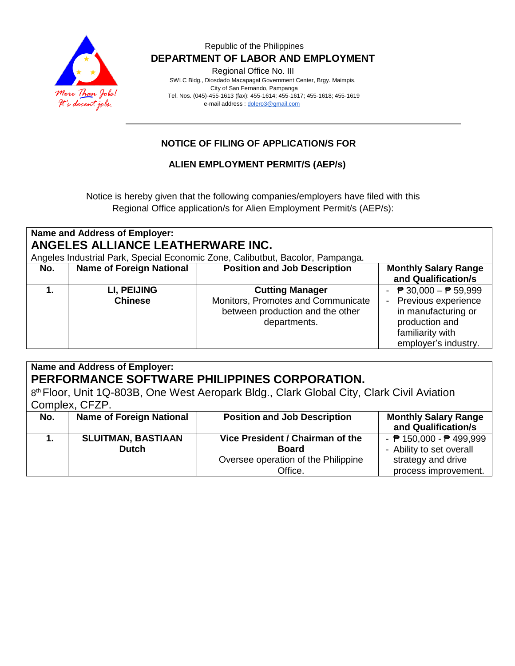

### Republic of the Philippines  **DEPARTMENT OF LABOR AND EMPLOYMENT**

Regional Office No. III

 SWLC Bldg., Diosdado Macapagal Government Center, Brgy. Maimpis, City of San Fernando, Pampanga Tel. Nos. (045)-455-1613 (fax): 455-1614; 455-1617; 455-1618; 455-1619 e-mail address [: dolero3@gmail.com](mailto:dolero3@gmail.com)

# **NOTICE OF FILING OF APPLICATION/S FOR**

## **ALIEN EMPLOYMENT PERMIT/S (AEP/s)**

Notice is hereby given that the following companies/employers have filed with this Regional Office application/s for Alien Employment Permit/s (AEP/s):

| Name and Address of Employer:<br>ANGELES ALLIANCE LEATHERWARE INC.<br>Angeles Industrial Park, Special Economic Zone, Calibutbut, Bacolor, Pampanga. |                                 |                                                                                                                  |                                                                                                                                                           |
|------------------------------------------------------------------------------------------------------------------------------------------------------|---------------------------------|------------------------------------------------------------------------------------------------------------------|-----------------------------------------------------------------------------------------------------------------------------------------------------------|
| No.                                                                                                                                                  | <b>Name of Foreign National</b> | <b>Position and Job Description</b>                                                                              | <b>Monthly Salary Range</b><br>and Qualification/s                                                                                                        |
|                                                                                                                                                      | LI, PEIJING<br><b>Chinese</b>   | <b>Cutting Manager</b><br>Monitors, Promotes and Communicate<br>between production and the other<br>departments. | $\overline{P}$ 30,000 − $\overline{P}$ 59,999<br>Previous experience<br>in manufacturing or<br>production and<br>familiarity with<br>employer's industry. |

|     | Name and Address of Employer:   |                                                                                           |                                                   |
|-----|---------------------------------|-------------------------------------------------------------------------------------------|---------------------------------------------------|
|     |                                 | PERFORMANCE SOFTWARE PHILIPPINES CORPORATION.                                             |                                                   |
|     |                                 | 8th Floor, Unit 1Q-803B, One West Aeropark Bldg., Clark Global City, Clark Civil Aviation |                                                   |
|     | Complex, CFZP.                  |                                                                                           |                                                   |
| No. | <b>Name of Foreign National</b> | <b>Position and Job Description</b>                                                       | <b>Monthly Salary Range</b>                       |
|     |                                 |                                                                                           | and Qualification/s                               |
|     | <b>SLUITMAN, BASTIAAN</b>       | Vice President / Chairman of the                                                          | - $\overline{P}$ 150,000 - $\overline{P}$ 499,999 |
|     | Dutch                           | <b>Board</b>                                                                              | - Ability to set overall                          |
|     |                                 | Oversee operation of the Philippine                                                       | strategy and drive                                |
|     |                                 | Office.                                                                                   | process improvement.                              |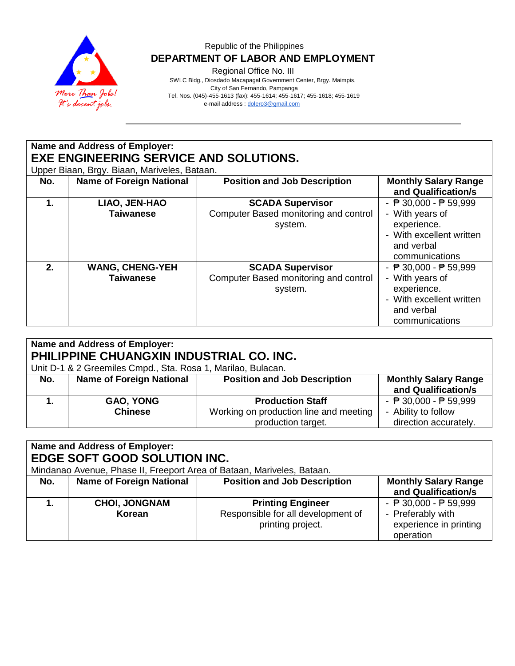

### Republic of the Philippines  **DEPARTMENT OF LABOR AND EMPLOYMENT**

Regional Office No. III

 SWLC Bldg., Diosdado Macapagal Government Center, Brgy. Maimpis, City of San Fernando, Pampanga Tel. Nos. (045)-455-1613 (fax): 455-1614; 455-1617; 455-1618; 455-1619 e-mail address [: dolero3@gmail.com](mailto:dolero3@gmail.com)

**Name and Address of Employer: EXE ENGINEERING SERVICE AND SOLUTIONS.** Upper Biaan, Brgy. Biaan, Mariveles, Bataan. **No.** | Name of Foreign National | Position and Job Description | Monthly Salary Range **and Qualification/s 1. LIAO, JEN-HAO Taiwanese SCADA Supervisor** Computer Based monitoring and control system. - ₱ 30,000 - ₱ 59,999 - With years of experience. - With excellent written and verbal communications **2. WANG, CHENG-YEH Taiwanese SCADA Supervisor** Computer Based monitoring and control - ₱ 30,000 - ₱ 59,999 - With years of

| Name and Address of Employer:<br>PHILIPPINE CHUANGXIN INDUSTRIAL CO. INC.<br>Unit D-1 & 2 Greemiles Cmpd., Sta. Rosa 1, Marilao, Bulacan. |                                    |                                                                                         |                                                                                                 |
|-------------------------------------------------------------------------------------------------------------------------------------------|------------------------------------|-----------------------------------------------------------------------------------------|-------------------------------------------------------------------------------------------------|
| No.                                                                                                                                       | <b>Name of Foreign National</b>    | <b>Position and Job Description</b>                                                     | <b>Monthly Salary Range</b><br>and Qualification/s                                              |
|                                                                                                                                           | <b>GAO, YONG</b><br><b>Chinese</b> | <b>Production Staff</b><br>Working on production line and meeting<br>production target. | - $\overline{P}$ 30,000 - $\overline{P}$ 59,999<br>- Ability to follow<br>direction accurately. |

system.

experience.

and verbal

- With excellent written

| Name and Address of Employer:<br>EDGE SOFT GOOD SOLUTION INC.<br>Mindanao Avenue, Phase II, Freeport Area of Bataan, Mariveles, Bataan. |                                 |                                                                                     |                                                                                                             |
|-----------------------------------------------------------------------------------------------------------------------------------------|---------------------------------|-------------------------------------------------------------------------------------|-------------------------------------------------------------------------------------------------------------|
| No.                                                                                                                                     | <b>Name of Foreign National</b> | <b>Position and Job Description</b>                                                 | <b>Monthly Salary Range</b><br>and Qualification/s                                                          |
|                                                                                                                                         | <b>CHOI, JONGNAM</b><br>Korean  | <b>Printing Engineer</b><br>Responsible for all development of<br>printing project. | - $\overline{P}$ 30,000 - $\overline{P}$ 59,999<br>- Preferably with<br>experience in printing<br>operation |

|     |                                                              |                                        | communications                                  |
|-----|--------------------------------------------------------------|----------------------------------------|-------------------------------------------------|
|     |                                                              |                                        |                                                 |
|     | Name and Address of Employer:                                |                                        |                                                 |
|     | PHILIPPINE CHUANGXIN INDUSTRIAL CO. INC.                     |                                        |                                                 |
|     | Unit D-1 & 2 Greemiles Cmpd., Sta. Rosa 1, Marilao, Bulacan. |                                        |                                                 |
| No. | <b>Name of Foreign National</b>                              | <b>Position and Job Description</b>    | <b>Monthly Salary Range</b>                     |
|     |                                                              |                                        | and Qualification/s                             |
|     | <b>GAO, YONG</b>                                             | <b>Production Staff</b>                | - $\overline{P}$ 30,000 - $\overline{P}$ 59,999 |
|     | <b>Chinese</b>                                               | Working on production line and meeting | - Ability to follow                             |
|     |                                                              | production target.                     | direction accurately.                           |